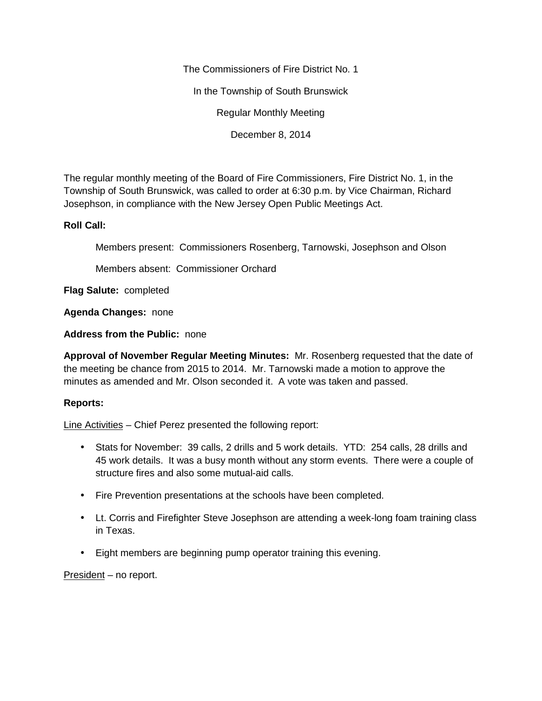The Commissioners of Fire District No. 1

In the Township of South Brunswick

Regular Monthly Meeting

December 8, 2014

The regular monthly meeting of the Board of Fire Commissioners, Fire District No. 1, in the Township of South Brunswick, was called to order at 6:30 p.m. by Vice Chairman, Richard Josephson, in compliance with the New Jersey Open Public Meetings Act.

## **Roll Call:**

Members present: Commissioners Rosenberg, Tarnowski, Josephson and Olson

Members absent: Commissioner Orchard

**Flag Salute:** completed

**Agenda Changes:** none

**Address from the Public:** none

**Approval of November Regular Meeting Minutes:** Mr. Rosenberg requested that the date of the meeting be chance from 2015 to 2014. Mr. Tarnowski made a motion to approve the minutes as amended and Mr. Olson seconded it. A vote was taken and passed.

## **Reports:**

Line Activities – Chief Perez presented the following report:

- Stats for November: 39 calls, 2 drills and 5 work details. YTD: 254 calls, 28 drills and 45 work details. It was a busy month without any storm events. There were a couple of structure fires and also some mutual-aid calls.
- Fire Prevention presentations at the schools have been completed.
- Lt. Corris and Firefighter Steve Josephson are attending a week-long foam training class in Texas.
- Eight members are beginning pump operator training this evening.

President – no report.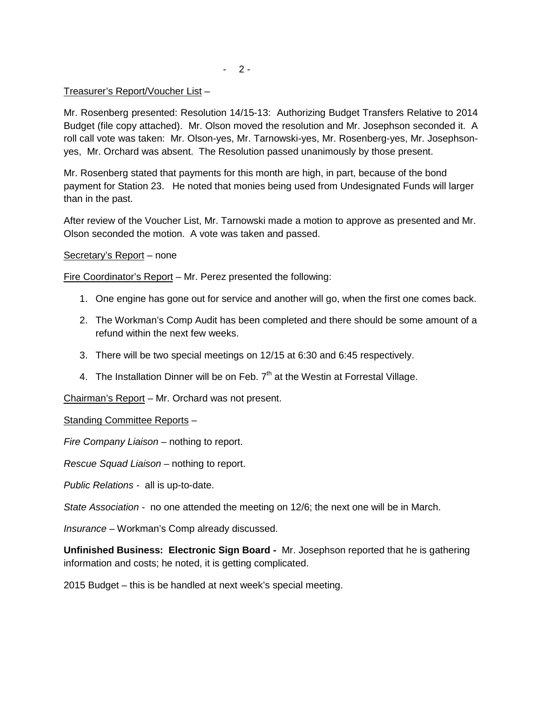$- 2 -$ 

## Treasurer's Report/Voucher List –

Mr. Rosenberg presented: Resolution 14/15-13: Authorizing Budget Transfers Relative to 2014 Budget (file copy attached). Mr. Olson moved the resolution and Mr. Josephson seconded it. A roll call vote was taken: Mr. Olson-yes, Mr. Tarnowski-yes, Mr. Rosenberg-yes, Mr. Josephson yes, Mr. Orchard was absent. The Resolution passed unanimously by those present.

Mr. Rosenberg stated that payments for this month are high, in part, because of the bond payment for Station 23. He noted that monies being used from Undesignated Funds will larger than in the past.

After review of the Voucher List, Mr. Tarnowski made a motion to approve as presented and Mr. Olson seconded the motion. A vote was taken and passed.

Secretary's Report – none

Fire Coordinator's Report – Mr. Perez presented the following:

- 1. One engine has gone out for service and another will go, when the first one comes back.
- 2. The Workman's Comp Audit has been completed and there should be some amount of a refund within the next few weeks.
- 3. There will be two special meetings on 12/15 at 6:30 and 6:45 respectively.
- 4. The Installation Dinner will be on Feb.  $7<sup>th</sup>$  at the Westin at Forrestal Village.

Chairman's Report – Mr. Orchard was not present.

Standing Committee Reports –

*Fire Company Liaison –* nothing to report.

*Rescue Squad Liaison* – nothing to report.

*Public Relations -* all is up-to-date.

*State Association -* no one attended the meeting on 12/6; the next one will be in March.

*Insurance –* Workman's Comp already discussed.

**Unfinished Business: Electronic Sign Board -** Mr. Josephson reported that he is gathering information and costs; he noted, it is getting complicated.

2015 Budget – this is be handled at next week's special meeting.